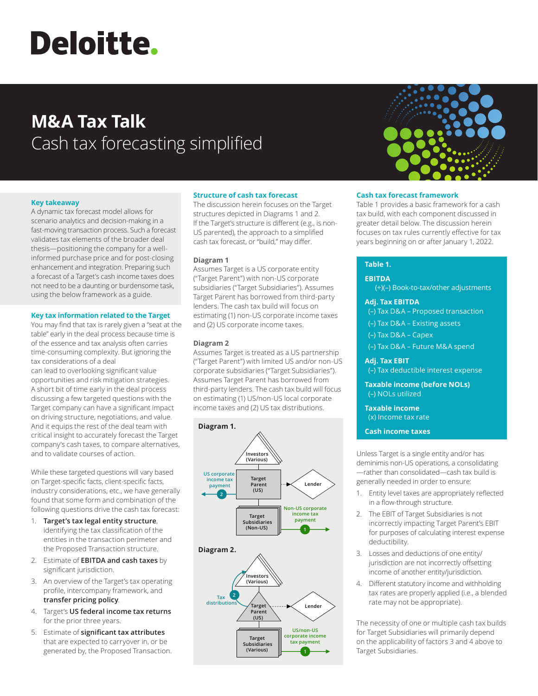# **Deloitte.**

# **M&A Tax Talk** Cash tax forecasting simplified

# **Key takeaway**

A dynamic tax forecast model allows for scenario analytics and decision-making in a fast-moving transaction process. Such a forecast validates tax elements of the broader deal thesis—positioning the company for a wellinformed purchase price and for post-closing enhancement and integration. Preparing such a forecast of a Target's cash income taxes does not need to be a daunting or burdensome task, using the below framework as a guide.

#### **Key tax information related to the Target**

You may find that tax is rarely given a "seat at the table" early in the deal process because time is of the essence and tax analysis often carries time-consuming complexity. But ignoring the tax considerations of a deal can lead to overlooking significant value opportunities and risk mitigation strategies. A short bit of time early in the deal process discussing a few targeted questions with the Target company can have a significant impact on driving structure, negotiations, and value. And it equips the rest of the deal team with critical insight to accurately forecast the Target company's cash taxes, to compare alternatives, and to validate courses of action.

While these targeted questions will vary based on Target-specific facts, client-specific facts, industry considerations, etc., we have generally found that some form and combination of the following questions drive the cash tax forecast:

- 1. **Target's tax legal entity structure**, identifying the tax classification of the entities in the transaction perimeter and the Proposed Transaction structure.
- 2. Estimate of **EBITDA and cash taxes** by significant jurisdiction.
- 3. An overview of the Target's tax operating profile, intercompany framework, and **transfer pricing policy**.
- 4. Target's **US federal income tax returns** for the prior three years.
- 5. Estimate of **significant tax attributes** that are expected to carryover in, or be generated by, the Proposed Transaction.

# **Structure of cash tax forecast**

The discussion herein focuses on the Target structures depicted in Diagrams 1 and 2. If the Target's structure is different (e.g., is non-US parented), the approach to a simplified cash tax forecast, or "build," may differ.

# **Diagram 1**

Assumes Target is a US corporate entity ("Target Parent") with non-US corporate subsidiaries ("Target Subsidiaries"). Assumes Target Parent has borrowed from third-party lenders. The cash tax build will focus on estimating (1) non-US corporate income taxes and (2) US corporate income taxes.

# **Diagram 2**

Assumes Target is treated as a US partnership **(Various)** ("Target Parent") with limited US and/or non-US **Tax 2** corporate subsidiaries ("Target Subsidiaries"). **Target Lender distributions** Assumes Target Parent has borrowed from **Parent (US)** third-party lenders. The cash tax build will focus on estimating (1) US/non-US local corporate income taxes and (2) US tax distributions. **tax payment Target Subsidiaries**







# **Cash tax forecast framework**

Table 1 provides a basic framework for a cash tax build, with each component discussed in greater detail below. The discussion herein focuses on tax rules currently effective for tax years beginning on or after January 1, 2022.

# **Table 1.**

#### **EBITDA**

(+)(–) Book-to-tax/other adjustments

#### **Adj. Tax EBITDA**

(–) Tax D&A – Proposed transaction

(–) Tax D&A – Existing assets

(–) Tax D&A – Capex

(–) Tax D&A – Future M&A spend

# **Adj. Tax EBIT**

(–) Tax deductible interest expense

**Taxable income (before NOLs)** (–) NOLs utilized

**Taxable income**  (x) Income tax rate

**Cash income taxes**

Unless Target is a single entity and/or has deminimis non-US operations, a consolidating —rather than consolidated—cash tax build is generally needed in order to ensure:

- 1. Entity level taxes are appropriately reflected in a flow-through structure.
- 2. The EBIT of Target Subsidiaries is not incorrectly impacting Target Parent's EBIT for purposes of calculating interest expense deductibility.
- 3. Losses and deductions of one entity/ jurisdiction are not incorrectly offsetting income of another entity/jurisdiction.
- 4. Different statutory income and withholding tax rates are properly applied (i.e., a blended rate may not be appropriate).

The necessity of one or multiple cash tax builds for Target Subsidiaries will primarily depend on the applicability of factors 3 and 4 above to Target Subsidiaries.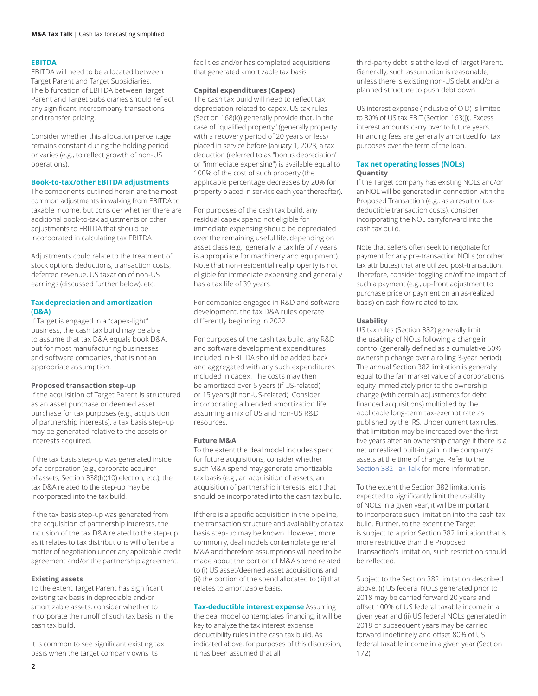#### **EBITDA**

EBITDA will need to be allocated between Target Parent and Target Subsidiaries. The bifurcation of EBITDA between Target Parent and Target Subsidiaries should reflect any significant intercompany transactions and transfer pricing.

Consider whether this allocation percentage remains constant during the holding period or varies (e.g., to reflect growth of non-US operations).

#### **Book-to-tax/other EBITDA adjustments**

The components outlined herein are the most common adjustments in walking from EBITDA to taxable income, but consider whether there are additional book-to-tax adjustments or other adjustments to EBITDA that should be incorporated in calculating tax EBITDA.

Adjustments could relate to the treatment of stock options deductions, transaction costs, deferred revenue, US taxation of non-US earnings (discussed further below), etc.

#### **Tax depreciation and amortization (D&A)**

If Target is engaged in a "capex-light" business, the cash tax build may be able to assume that tax D&A equals book D&A, but for most manufacturing businesses and software companies, that is not an appropriate assumption.

#### **Proposed transaction step-up**

If the acquisition of Target Parent is structured as an asset purchase or deemed asset purchase for tax purposes (e.g., acquisition of partnership interests), a tax basis step-up may be generated relative to the assets or interests acquired.

If the tax basis step-up was generated inside of a corporation (e.g., corporate acquirer of assets, Section 338(h)(10) election, etc.), the tax D&A related to the step-up may be incorporated into the tax build.

If the tax basis step-up was generated from the acquisition of partnership interests, the inclusion of the tax D&A related to the step-up as it relates to tax distributions will often be a matter of negotiation under any applicable credit agreement and/or the partnership agreement.

#### **Existing assets**

To the extent Target Parent has significant existing tax basis in depreciable and/or amortizable assets, consider whether to incorporate the runoff of such tax basis in the cash tax build.

It is common to see significant existing tax basis when the target company owns its

facilities and/or has completed acquisitions that generated amortizable tax basis.

#### **Capital expenditures (Capex)**

The cash tax build will need to reflect tax depreciation related to capex. US tax rules (Section 168(k)) generally provide that, in the case of "qualified property" (generally property with a recovery period of 20 years or less) placed in service before January 1, 2023, a tax deduction (referred to as "bonus depreciation" or "immediate expensing") is available equal to 100% of the cost of such property (the applicable percentage decreases by 20% for property placed in service each year thereafter).

For purposes of the cash tax build, any residual capex spend not eligible for immediate expensing should be depreciated over the remaining useful life, depending on asset class (e.g., generally, a tax life of 7 years is appropriate for machinery and equipment). Note that non-residential real property is not eligible for immediate expensing and generally has a tax life of 39 years.

For companies engaged in R&D and software development, the tax D&A rules operate differently beginning in 2022.

For purposes of the cash tax build, any R&D and software development expenditures included in EBITDA should be added back and aggregated with any such expenditures included in capex. The costs may then be amortized over 5 years (if US-related) or 15 years (if non-US-related). Consider incorporating a blended amortization life, assuming a mix of US and non-US R&D resources.

#### **Future M&A**

To the extent the deal model includes spend for future acquisitions, consider whether such M&A spend may generate amortizable tax basis (e.g., an acquisition of assets, an acquisition of partnership interests, etc.) that should be incorporated into the cash tax build.

If there is a specific acquisition in the pipeline, the transaction structure and availability of a tax basis step-up may be known. However, more commonly, deal models contemplate general M&A and therefore assumptions will need to be made about the portion of M&A spend related to (i) US asset/deemed asset acquisitions and (ii) the portion of the spend allocated to (iii) that relates to amortizable basis.

#### **Tax-deductible interest expense** Assuming the deal model contemplates financing, it will be key to analyze the tax interest expense deductibility rules in the cash tax build. As indicated above, for purposes of this discussion, it has been assumed that all

third-party debt is at the level of Target Parent. Generally, such assumption is reasonable, unless there is existing non-US debt and/or a planned structure to push debt down.

US interest expense (inclusive of OID) is limited to 30% of US tax EBIT (Section 163(j)). Excess interest amounts carry over to future years. Financing fees are generally amortized for tax purposes over the term of the loan.

#### **Tax net operating losses (NOLs) Quantity**

If the Target company has existing NOLs and/or an NOL will be generated in connection with the Proposed Transaction (e.g., as a result of taxdeductible transaction costs), consider incorporating the NOL carryforward into the cash tax build.

Note that sellers often seek to negotiate for payment for any pre-transaction NOLs (or other tax attributes) that are utilized post-transaction. Therefore, consider toggling on/off the impact of such a payment (e.g., up-front adjustment to purchase price or payment on an as-realized basis) on cash flow related to tax.

#### **Usability**

US tax rules (Section 382) generally limit the usability of NOLs following a change in control (generally defined as a cumulative 50% ownership change over a rolling 3-year period). The annual Section 382 limitation is generally equal to the fair market value of a corporation's equity immediately prior to the ownership change (with certain adjustments for debt financed acquisitions) multiplied by the applicable long-term tax-exempt rate as published by the IRS. Under current tax rules, that limitation may be increased over the first five years after an ownership change if there is a net unrealized built-in gain in the company's assets at the time of change. Refer to the S[ection 382](https://www2.deloitte.com/content/dam/Deloitte/us/Documents/Tax/us-tax-ma-talk-october.pdf) Tax Talk for more information.

To the extent the Section 382 limitation is expected to significantly limit the usability of NOLs in a given year, it will be important to incorporate such limitation into the cash tax build. Further, to the extent the Target is subject to a prior Section 382 limitation that is more restrictive than the Proposed Transaction's limitation, such restriction should be reflected.

Subject to the Section 382 limitation described above, (i) US federal NOLs generated prior to 2018 may be carried forward 20 years and offset 100% of US federal taxable income in a given year and (ii) US federal NOLs generated in 2018 or subsequent years may be carried forward indefinitely and offset 80% of US federal taxable income in a given year (Section 172).